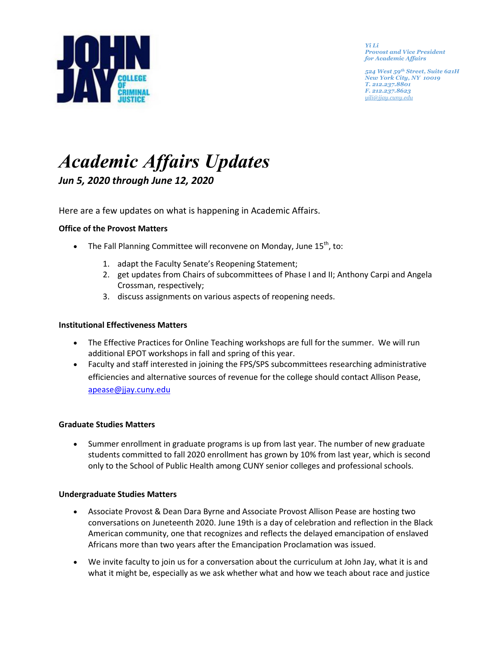

*Yi Li Provost and Vice President for Academic Affairs* 

*524 West 59th Street, Suite 621H New York City, NY 10019 T. 212.237.8801 F. 212.237.8623 [yili@jjay.cuny.edu](mailto:jbowers@jjay.cuny.edu)*

# *Academic Affairs Updates Jun 5, 2020 through June 12, 2020*

Here are a few updates on what is happening in Academic Affairs.

# **Office of the Provost Matters**

- The Fall Planning Committee will reconvene on Monday, June  $15^{th}$ , to:
	- 1. adapt the Faculty Senate's Reopening Statement;
	- 2. get updates from Chairs of subcommittees of Phase I and II; Anthony Carpi and Angela Crossman, respectively;
	- 3. discuss assignments on various aspects of reopening needs.

#### **Institutional Effectiveness Matters**

- The Effective Practices for Online Teaching workshops are full for the summer. We will run additional EPOT workshops in fall and spring of this year.
- Faculty and staff interested in joining the FPS/SPS subcommittees researching administrative efficiencies and alternative sources of revenue for the college should contact Allison Pease, [apease@jjay.cuny.edu](mailto:apease@jjay.cuny.edu)

#### **Graduate Studies Matters**

• Summer enrollment in graduate programs is up from last year. The number of new graduate students committed to fall 2020 enrollment has grown by 10% from last year, which is second only to the School of Public Health among CUNY senior colleges and professional schools.

#### **Undergraduate Studies Matters**

- Associate Provost & Dean Dara Byrne and Associate Provost Allison Pease are hosting two conversations on Juneteenth 2020. June 19th is a day of celebration and reflection in the Black American community, one that recognizes and reflects the delayed emancipation of enslaved Africans more than two years after the Emancipation Proclamation was issued.
- We invite faculty to join us for a conversation about the curriculum at John Jay, what it is and what it might be, especially as we ask whether what and how we teach about race and justice